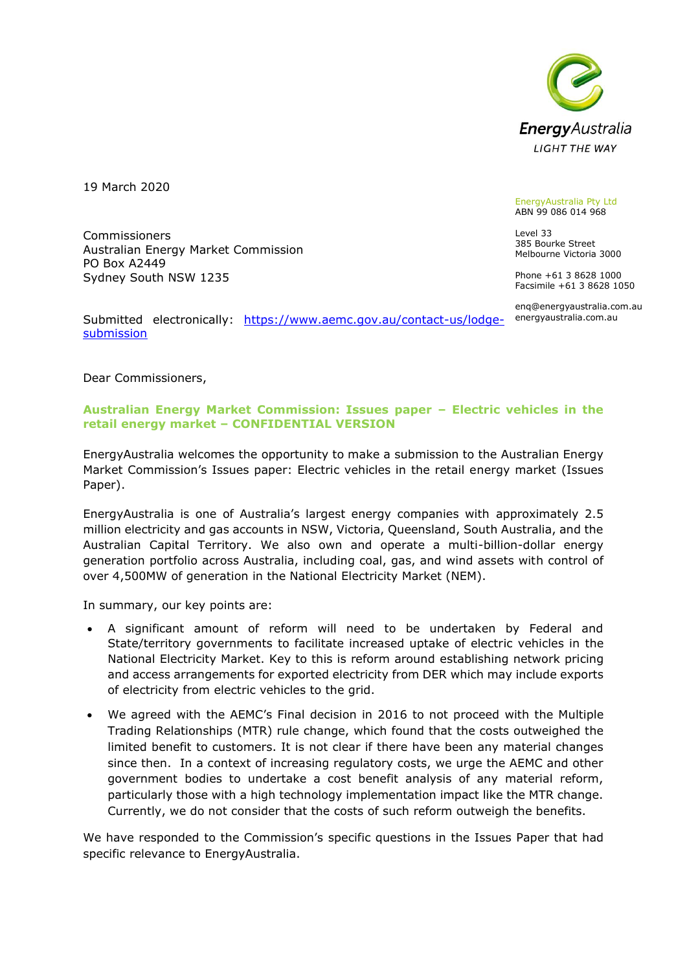

19 March 2020

Commissioners

PO Box A2449

Australian Energy Market Commission

EnergyAustralia Pty Ltd ABN 99 086 014 968

Level 33 385 Bourke Street Melbourne Victoria 3000

Phone +61 3 8628 1000 Facsimile +61 3 8628 1050

enq@energyaustralia.com.au energyaustralia.com.au

Submitted electronically: [https://www.aemc.gov.au/contact-us/lodge](https://www.aemc.gov.au/contact-us/lodge-submission)[submission](https://www.aemc.gov.au/contact-us/lodge-submission)

Dear Commissioners,

Sydney South NSW 1235

## **Australian Energy Market Commission: Issues paper – Electric vehicles in the retail energy market – CONFIDENTIAL VERSION**

EnergyAustralia welcomes the opportunity to make a submission to the Australian Energy Market Commission's Issues paper: Electric vehicles in the retail energy market (Issues Paper).

EnergyAustralia is one of Australia's largest energy companies with approximately 2.5 million electricity and gas accounts in NSW, Victoria, Queensland, South Australia, and the Australian Capital Territory. We also own and operate a multi-billion-dollar energy generation portfolio across Australia, including coal, gas, and wind assets with control of over 4,500MW of generation in the National Electricity Market (NEM).

In summary, our key points are:

- A significant amount of reform will need to be undertaken by Federal and State/territory governments to facilitate increased uptake of electric vehicles in the National Electricity Market. Key to this is reform around establishing network pricing and access arrangements for exported electricity from DER which may include exports of electricity from electric vehicles to the grid.
- We agreed with the AEMC's Final decision in 2016 to not proceed with the Multiple Trading Relationships (MTR) rule change, which found that the costs outweighed the limited benefit to customers. It is not clear if there have been any material changes since then. In a context of increasing regulatory costs, we urge the AEMC and other government bodies to undertake a cost benefit analysis of any material reform, particularly those with a high technology implementation impact like the MTR change. Currently, we do not consider that the costs of such reform outweigh the benefits.

We have responded to the Commission's specific questions in the Issues Paper that had specific relevance to EnergyAustralia.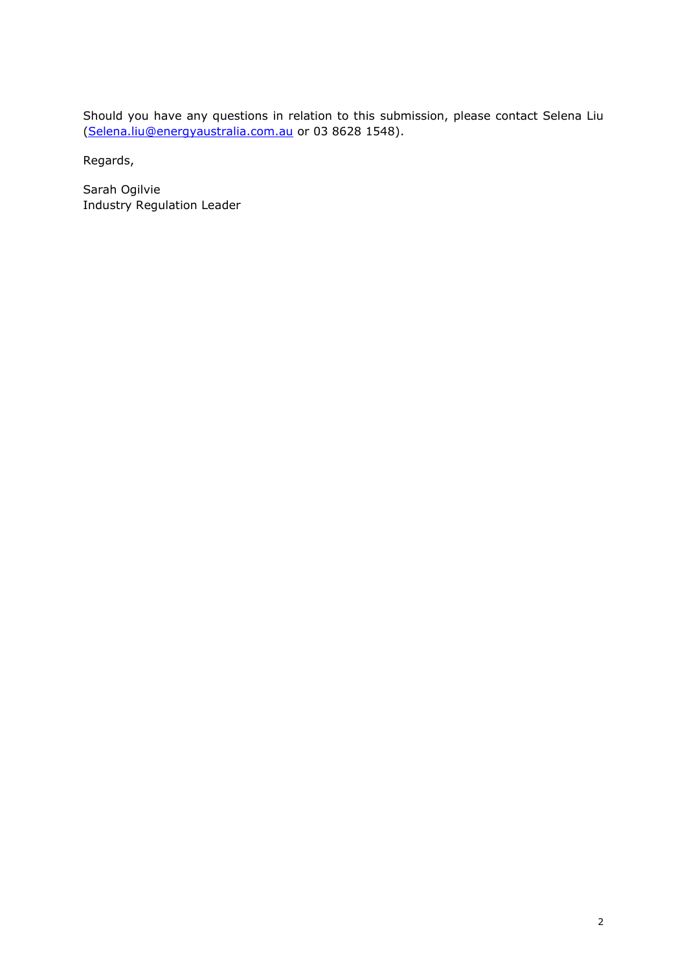Should you have any questions in relation to this submission, please contact Selena Liu [\(Selena.liu@energyaustralia.com.au](mailto:Selena.liu@energyaustralia.com.au) or 03 8628 1548).

Regards,

Sarah Ogilvie Industry Regulation Leader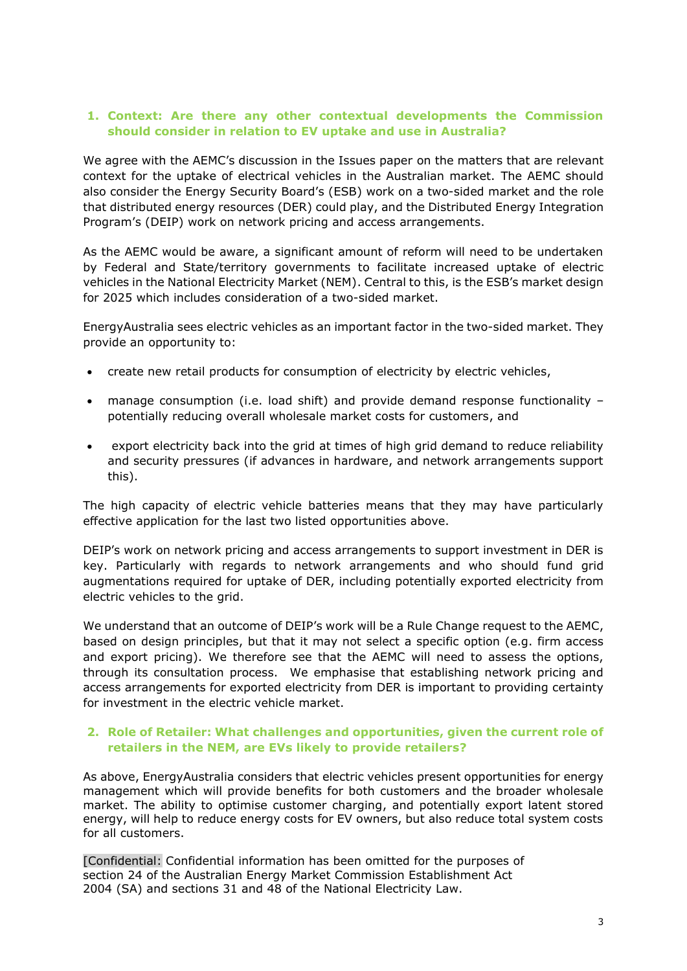# **1. Context: Are there any other contextual developments the Commission should consider in relation to EV uptake and use in Australia?**

We agree with the AEMC's discussion in the Issues paper on the matters that are relevant context for the uptake of electrical vehicles in the Australian market. The AEMC should also consider the Energy Security Board's (ESB) work on a two-sided market and the role that distributed energy resources (DER) could play, and the Distributed Energy Integration Program's (DEIP) work on network pricing and access arrangements.

As the AEMC would be aware, a significant amount of reform will need to be undertaken by Federal and State/territory governments to facilitate increased uptake of electric vehicles in the National Electricity Market (NEM). Central to this, is the ESB's market design for 2025 which includes consideration of a two-sided market.

EnergyAustralia sees electric vehicles as an important factor in the two-sided market. They provide an opportunity to:

- create new retail products for consumption of electricity by electric vehicles,
- manage consumption (i.e. load shift) and provide demand response functionality potentially reducing overall wholesale market costs for customers, and
- export electricity back into the grid at times of high grid demand to reduce reliability and security pressures (if advances in hardware, and network arrangements support this).

The high capacity of electric vehicle batteries means that they may have particularly effective application for the last two listed opportunities above.

DEIP's work on network pricing and access arrangements to support investment in DER is key. Particularly with regards to network arrangements and who should fund grid augmentations required for uptake of DER, including potentially exported electricity from electric vehicles to the grid.

We understand that an outcome of DEIP's work will be a Rule Change request to the AEMC, based on design principles, but that it may not select a specific option (e.g. firm access and export pricing). We therefore see that the AEMC will need to assess the options, through its consultation process. We emphasise that establishing network pricing and access arrangements for exported electricity from DER is important to providing certainty for investment in the electric vehicle market.

## **2. Role of Retailer: What challenges and opportunities, given the current role of retailers in the NEM, are EVs likely to provide retailers?**

As above, EnergyAustralia considers that electric vehicles present opportunities for energy management which will provide benefits for both customers and the broader wholesale market. The ability to optimise customer charging, and potentially export latent stored energy, will help to reduce energy costs for EV owners, but also reduce total system costs for all customers.

[Confidential: Confidential information has been omitted for the purposes of section 24 of the Australian Energy Market Commission Establishment Act 2004 (SA) and sections 31 and 48 of the National Electricity Law.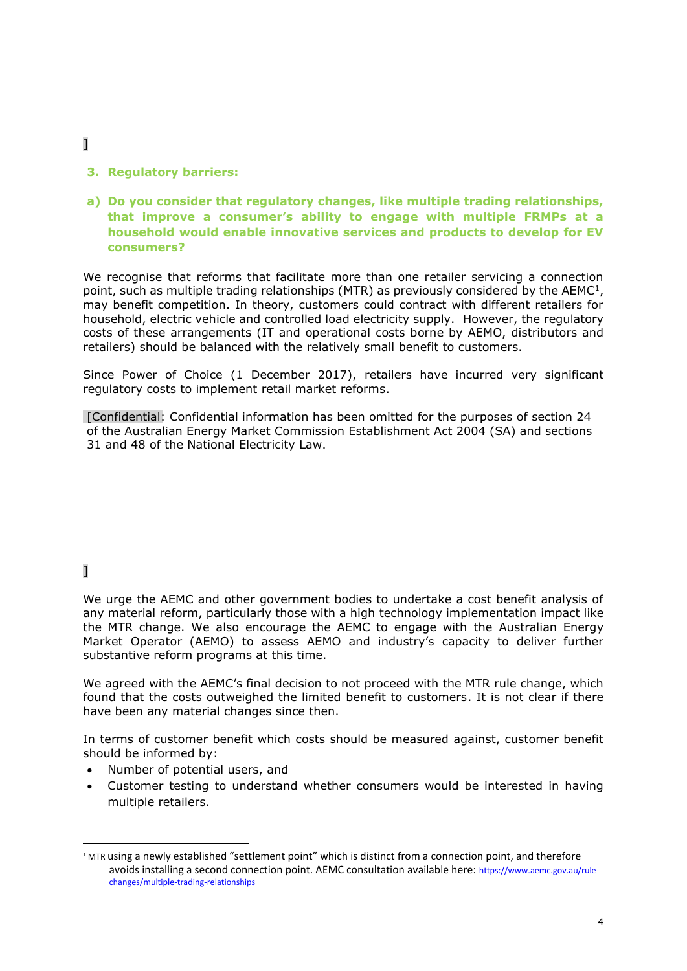- ]
- **3. Regulatory barriers:**
- **a) Do you consider that regulatory changes, like multiple trading relationships, that improve a consumer's ability to engage with multiple FRMPs at a household would enable innovative services and products to develop for EV consumers?**

We recognise that reforms that facilitate more than one retailer servicing a connection point, such as multiple trading relationships (MTR) as previously considered by the  $AEMC^{1}$ , may benefit competition. In theory, customers could contract with different retailers for household, electric vehicle and controlled load electricity supply. However, the regulatory costs of these arrangements (IT and operational costs borne by AEMO, distributors and retailers) should be balanced with the relatively small benefit to customers.

Since Power of Choice (1 December 2017), retailers have incurred very significant regulatory costs to implement retail market reforms.

[Confidential: Confidential information has been omitted for the purposes of section 24 of the Australian Energy Market Commission Establishment Act 2004 (SA) and sections 31 and 48 of the National Electricity Law.

# ]

We urge the AEMC and other government bodies to undertake a cost benefit analysis of any material reform, particularly those with a high technology implementation impact like the MTR change. We also encourage the AEMC to engage with the Australian Energy Market Operator (AEMO) to assess AEMO and industry's capacity to deliver further substantive reform programs at this time.

We agreed with the AEMC's final decision to not proceed with the MTR rule change, which found that the costs outweighed the limited benefit to customers. It is not clear if there have been any material changes since then.

In terms of customer benefit which costs should be measured against, customer benefit should be informed by:

- Number of potential users, and
- Customer testing to understand whether consumers would be interested in having multiple retailers.

<sup>1</sup> MTR using a newly established "settlement point" which is distinct from a connection point, and therefore avoids installing a second connection point. AEMC consultation available here: [https://www.aemc.gov.au/rule](https://www.aemc.gov.au/rule-changes/multiple-trading-relationships)[changes/multiple-trading-relationships](https://www.aemc.gov.au/rule-changes/multiple-trading-relationships)